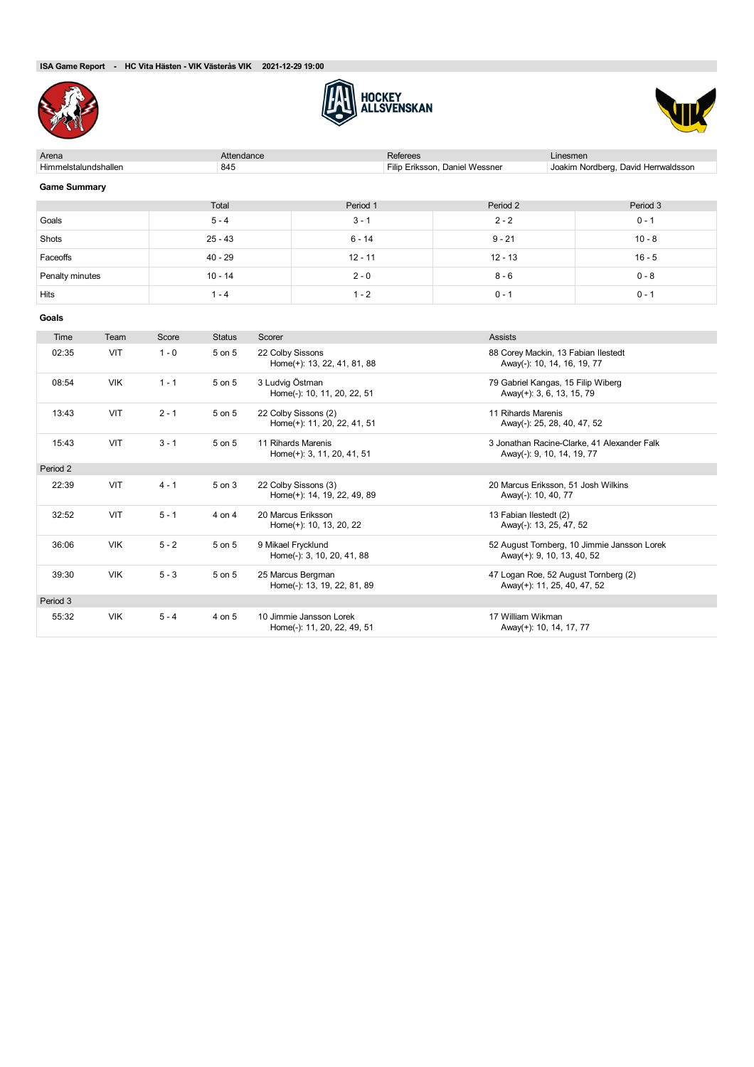

Period 3





| Arena                |            |         | Attendance            |                                                 | <b>Referees</b><br>Linesmen                         |          |                                                                           |                                                                           |  |
|----------------------|------------|---------|-----------------------|-------------------------------------------------|-----------------------------------------------------|----------|---------------------------------------------------------------------------|---------------------------------------------------------------------------|--|
| Himmelstalundshallen |            |         | 845                   |                                                 |                                                     |          | Filip Eriksson, Daniel Wessner                                            | Joakim Nordberg, David Herrwaldsson                                       |  |
| <b>Game Summary</b>  |            |         |                       |                                                 |                                                     |          |                                                                           |                                                                           |  |
|                      |            |         | Total                 |                                                 | Period 1                                            |          | Period 2                                                                  | Period 3                                                                  |  |
| Goals                |            |         | $5 - 4$               |                                                 | $3 - 1$                                             |          | $2 - 2$                                                                   | $0 - 1$                                                                   |  |
| Shots                |            |         | $25 - 43$<br>$6 - 14$ |                                                 |                                                     | $9 - 21$ | $10 - 8$                                                                  |                                                                           |  |
| Faceoffs             |            |         | $40 - 29$             |                                                 | $12 - 11$                                           |          | $12 - 13$                                                                 | $16 - 5$                                                                  |  |
| Penalty minutes      |            |         | $10 - 14$             |                                                 | $2 - 0$                                             |          | $8 - 6$                                                                   | $0 - 8$                                                                   |  |
| Hits                 |            |         | $1 - 4$               |                                                 | $1 - 2$                                             |          | $0 - 1$                                                                   | $0 - 1$                                                                   |  |
| Goals                |            |         |                       |                                                 |                                                     |          |                                                                           |                                                                           |  |
| Time                 | Team       | Score   | <b>Status</b>         | Scorer                                          |                                                     |          | <b>Assists</b>                                                            |                                                                           |  |
| 02:35                | VIT        | $1 - 0$ | 5 on 5                | 22 Colby Sissons<br>Home(+): 13, 22, 41, 81, 88 |                                                     |          |                                                                           | 88 Corey Mackin, 13 Fabian Ilestedt<br>Away(-): 10, 14, 16, 19, 77        |  |
| 08:54                | <b>VIK</b> | $1 - 1$ | 5 on 5                |                                                 | 3 Ludvig Östman<br>Home(-): 10, 11, 20, 22, 51      |          |                                                                           | 79 Gabriel Kangas, 15 Filip Wiberg<br>Away(+): 3, 6, 13, 15, 79           |  |
| 13:43                | <b>VIT</b> | $2 - 1$ | 5 on 5                |                                                 | 22 Colby Sissons (2)<br>Home(+): 11, 20, 22, 41, 51 |          | 11 Rihards Marenis<br>Away(-): 25, 28, 40, 47, 52                         |                                                                           |  |
| 15:43                | VIT        | $3 - 1$ | 5 on 5                |                                                 | 11 Rihards Marenis<br>Home(+): 3, 11, 20, 41, 51    |          |                                                                           | 3 Jonathan Racine-Clarke, 41 Alexander Falk<br>Away(-): 9, 10, 14, 19, 77 |  |
| Period 2             |            |         |                       |                                                 |                                                     |          |                                                                           |                                                                           |  |
| 22:39                | VIT        | $4 - 1$ | 5 on 3                |                                                 | 22 Colby Sissons (3)<br>Home(+): 14, 19, 22, 49, 89 |          | Away(-): 10, 40, 77                                                       | 20 Marcus Eriksson, 51 Josh Wilkins                                       |  |
| 32:52                | VIT        | $5 - 1$ | 4 on 4                | 20 Marcus Eriksson<br>Home(+): 10, 13, 20, 22   |                                                     |          | 13 Fabian Ilestedt (2)                                                    | Away(-): 13, 25, 47, 52                                                   |  |
| 36:06                | <b>VIK</b> | $5 - 2$ | 5 on 5                |                                                 | 9 Mikael Frycklund<br>Home(-): 3, 10, 20, 41, 88    |          | 52 August Tornberg, 10 Jimmie Jansson Lorek<br>Away(+): 9, 10, 13, 40, 52 |                                                                           |  |
| 39:30                | <b>VIK</b> | $5 - 3$ | 5 on 5                |                                                 | 25 Marcus Bergman<br>Home(-): 13, 19, 22, 81, 89    |          |                                                                           | 47 Logan Roe, 52 August Tornberg (2)<br>Away(+): 11, 25, 40, 47, 52       |  |

Home(-): 11, 20, 22, 49, 51 Away(+): 10, 14, 17, 77

55:32 VIK 5 - 4 4 on 5 10 Jimmie Jansson Lorek 17 William Wikman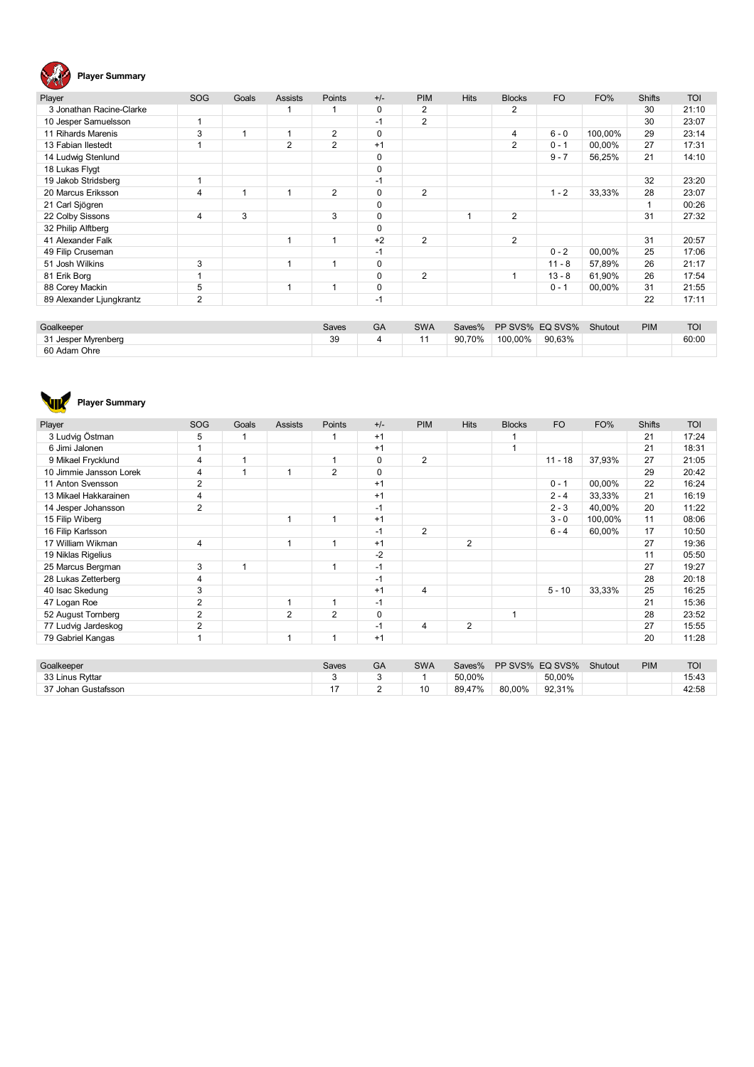

| Player                   | <b>SOG</b> | Goals | <b>Assists</b> | Points         | $+/-$       | <b>PIM</b>     | <b>Hits</b> | <b>Blocks</b> | <b>FO</b> | FO%     | <b>Shifts</b> | <b>TOI</b> |
|--------------------------|------------|-------|----------------|----------------|-------------|----------------|-------------|---------------|-----------|---------|---------------|------------|
| 3 Jonathan Racine-Clarke |            |       |                |                | $\mathbf 0$ | 2              |             | 2             |           |         | 30            | 21:10      |
| 10 Jesper Samuelsson     |            |       |                |                | $-1$        | $\overline{2}$ |             |               |           |         | 30            | 23:07      |
| 11 Rihards Marenis       | 3          | 1     |                | 2              | $\mathbf 0$ |                |             | 4             | $6 - 0$   | 100.00% | 29            | 23:14      |
| 13 Fabian Ilestedt       |            |       | $\overline{2}$ | $\overline{2}$ | $+1$        |                |             | 2             | $0 - 1$   | 00,00%  | 27            | 17:31      |
| 14 Ludwig Stenlund       |            |       |                |                | $\mathbf 0$ |                |             |               | $9 - 7$   | 56,25%  | 21            | 14:10      |
| 18 Lukas Flygt           |            |       |                |                | $\mathbf 0$ |                |             |               |           |         |               |            |
| 19 Jakob Stridsberg      |            |       |                |                | $-1$        |                |             |               |           |         | 32            | 23:20      |
| 20 Marcus Eriksson       | 4          | 1     |                | 2              | 0           | $\overline{2}$ |             |               | $1 - 2$   | 33.33%  | 28            | 23:07      |
| 21 Carl Sjögren          |            |       |                |                | 0           |                |             |               |           |         |               | 00:26      |
| 22 Colby Sissons         | 4          | 3     |                | 3              | $\Omega$    |                |             | 2             |           |         | 31            | 27:32      |
| 32 Philip Alftberg       |            |       |                |                | $\Omega$    |                |             |               |           |         |               |            |
| 41 Alexander Falk        |            |       |                |                | $+2$        | $\overline{2}$ |             | 2             |           |         | 31            | 20:57      |
| 49 Filip Cruseman        |            |       |                |                | $-1$        |                |             |               | $0 - 2$   | 00,00%  | 25            | 17:06      |
| 51 Josh Wilkins          | 3          |       |                |                | $\mathbf 0$ |                |             |               | $11 - 8$  | 57,89%  | 26            | 21:17      |
| 81 Erik Borg             |            |       |                |                | 0           | $\overline{2}$ |             |               | $13 - 8$  | 61,90%  | 26            | 17:54      |
| 88 Corey Mackin          | 5          |       |                |                | $\mathbf 0$ |                |             |               | $0 - 1$   | 00,00%  | 31            | 21:55      |
| 89 Alexander Ljungkrantz | 2          |       |                |                | $-1$        |                |             |               |           |         | 22            | 17:11      |

| Goalkeeper             | Saves | $\sim$<br>GA | <b>SWA</b> | Saves% |         | PP SVS% EQ SVS% | Shutout | <b>PIM</b> | <b>TOI</b> |
|------------------------|-------|--------------|------------|--------|---------|-----------------|---------|------------|------------|
| 24<br>Jesper Myrenberg | 39    |              |            | 90.70% | 100.00% | 90.63%          |         |            | 60:00      |
| 60 Adam Ohre           |       |              |            |        |         |                 |         |            |            |



| Player                  | SOG            | Goals          | <b>Assists</b> | Points         | $+/-$       | <b>PIM</b>     | <b>Hits</b>    | <b>Blocks</b> | F <sub>O</sub>  | FO%     | <b>Shifts</b> | <b>TOI</b> |
|-------------------------|----------------|----------------|----------------|----------------|-------------|----------------|----------------|---------------|-----------------|---------|---------------|------------|
| 3 Ludvig Östman         | 5              |                |                |                | $+1$        |                |                |               |                 |         | 21            | 17:24      |
| 6 Jimi Jalonen          |                |                |                |                | $+1$        |                |                | 1             |                 |         | 21            | 18:31      |
| 9 Mikael Frycklund      | 4              |                |                | 1              | $\mathbf 0$ | 2              |                |               | $11 - 18$       | 37,93%  | 27            | 21:05      |
| 10 Jimmie Jansson Lorek | 4              |                |                | $\overline{2}$ | $\mathbf 0$ |                |                |               |                 |         | 29            | 20:42      |
| 11 Anton Svensson       | $\overline{2}$ |                |                |                | $+1$        |                |                |               | $0 - 1$         | 00,00%  | 22            | 16:24      |
| 13 Mikael Hakkarainen   | 4              |                |                |                | $+1$        |                |                |               | $2 - 4$         | 33,33%  | 21            | 16:19      |
| 14 Jesper Johansson     | 2              |                |                |                | $-1$        |                |                |               | $2 - 3$         | 40,00%  | 20            | 11:22      |
| 15 Filip Wiberg         |                |                | 1              | 1              | $+1$        |                |                |               | $3 - 0$         | 100,00% | 11            | 08:06      |
| 16 Filip Karlsson       |                |                |                |                | $-1$        | $\overline{2}$ |                |               | $6 - 4$         | 60,00%  | 17            | 10:50      |
| 17 William Wikman       | 4              |                | -1             | 1              | $+1$        |                | $\overline{2}$ |               |                 |         | 27            | 19:36      |
| 19 Niklas Rigelius      |                |                |                |                | $-2$        |                |                |               |                 |         | 11            | 05:50      |
| 25 Marcus Bergman       | 3              | $\overline{1}$ |                | 1              | $-1$        |                |                |               |                 |         | 27            | 19:27      |
| 28 Lukas Zetterberg     | 4              |                |                |                | $-1$        |                |                |               |                 |         | 28            | 20:18      |
| 40 Isac Skedung         | 3              |                |                |                | $+1$        | 4              |                |               | $5 - 10$        | 33,33%  | 25            | 16:25      |
| 47 Logan Roe            | $\overline{2}$ |                |                | 1              | $-1$        |                |                |               |                 |         | 21            | 15:36      |
| 52 August Tornberg      | $\overline{2}$ |                | $\overline{2}$ | $\overline{2}$ | $\mathbf 0$ |                |                | 1             |                 |         | 28            | 23:52      |
| 77 Ludvig Jardeskog     | $\overline{2}$ |                |                |                | $-1$        | 4              | $\overline{2}$ |               |                 |         | 27            | 15:55      |
| 79 Gabriel Kangas       |                |                | -1             | 1              | $+1$        |                |                |               |                 |         | 20            | 11:28      |
|                         |                |                |                |                |             |                |                |               |                 |         |               |            |
| Goalkeeper              |                |                |                | Saves          | GA          | <b>SWA</b>     | Saves%         |               | PP SVS% EQ SVS% | Shutout | <b>PIM</b>    | <b>TOI</b> |

| Goalkeeper          | Saves | फ़ | SWA | Saves%       | PP SVS%<br>EQ SVS% | Shutout | PIM | . .<br>1 VI |
|---------------------|-------|----|-----|--------------|--------------------|---------|-----|-------------|
| 33 Linus Ryttar     |       |    |     | 50.00%       | 50.00%             |         |     | 15:43       |
| 37 Johan Gustafsson | . .   |    | 10  | A70/<br>89.4 | 92.31%<br>80.00%   |         |     | 42:58       |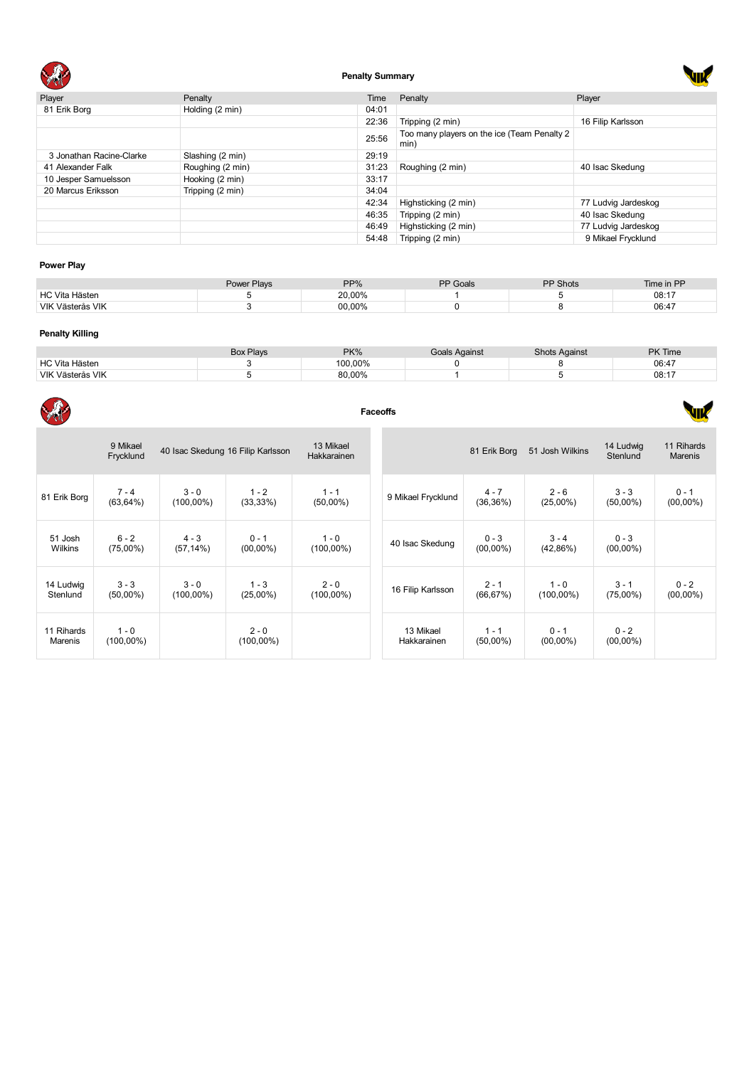

# **Penalty Summary**

 $\mathbf{r}$ 

J.

| Player                   | Penalty          | Time  | Penalty                                             | Player              |
|--------------------------|------------------|-------|-----------------------------------------------------|---------------------|
| 81 Erik Borg             | Holding (2 min)  | 04:01 |                                                     |                     |
|                          |                  | 22:36 | Tripping (2 min)                                    | 16 Filip Karlsson   |
|                          |                  | 25:56 | Too many players on the ice (Team Penalty 2<br>min) |                     |
| 3 Jonathan Racine-Clarke | Slashing (2 min) | 29:19 |                                                     |                     |
| 41 Alexander Falk        | Roughing (2 min) | 31:23 | Roughing (2 min)                                    | 40 Isac Skedung     |
| 10 Jesper Samuelsson     | Hooking (2 min)  | 33:17 |                                                     |                     |
| 20 Marcus Eriksson       | Tripping (2 min) | 34:04 |                                                     |                     |
|                          |                  | 42:34 | Highsticking (2 min)                                | 77 Ludvig Jardeskog |
|                          |                  | 46:35 | Tripping (2 min)                                    | 40 Isac Skedung     |
|                          |                  | 46:49 | Highsticking (2 min)                                | 77 Ludvig Jardeskog |
|                          |                  | 54:48 | Tripping (2 min)                                    | 9 Mikael Frycklund  |

# **Power Play**

|                  | <b>Power Plays</b> | PP%    | PP Goals | <b>PP Shots</b> | Time in PP |
|------------------|--------------------|--------|----------|-----------------|------------|
| HC Vita Hästen   |                    | 20,00% |          |                 | 08:17      |
| VIK Västerås VIK |                    | 00,00% |          |                 | 06:47      |

### **Penalty Killing**

 $\sim$ 

|                       | <b>Box Plays</b> | PK%     | Goals Against | <b>Shots Against</b> | <b>PK Time</b> |
|-----------------------|------------------|---------|---------------|----------------------|----------------|
| <b>HC Vita Hästen</b> |                  | 100.00% |               |                      | 06:47          |
| VIK Västerås VIK      |                  | 80.00%  |               |                      | 08:17          |

| XP                    |                         |                         |                                   |                          | <b>Faceoffs</b>          |                        |                         |                        |                              |
|-----------------------|-------------------------|-------------------------|-----------------------------------|--------------------------|--------------------------|------------------------|-------------------------|------------------------|------------------------------|
|                       | 9 Mikael<br>Frycklund   |                         | 40 Isac Skedung 16 Filip Karlsson | 13 Mikael<br>Hakkarainen |                          | 81 Erik Borg           | 51 Josh Wilkins         | 14 Ludwig<br>Stenlund  | 11 Rihards<br><b>Marenis</b> |
| 81 Erik Borg          | $7 - 4$<br>$(63, 64\%)$ | $3 - 0$<br>$(100,00\%)$ | $1 - 2$<br>(33,33%)               | $1 - 1$<br>$(50,00\%)$   | 9 Mikael Frycklund       | $4 - 7$<br>(36, 36%)   | $2 - 6$<br>$(25,00\%)$  | $3 - 3$<br>$(50,00\%)$ | $0 - 1$<br>$(00,00\%)$       |
| 51 Josh<br>Wilkins    | $6 - 2$<br>$(75,00\%)$  | $4 - 3$<br>$(57, 14\%)$ | $0 - 1$<br>$(00,00\%)$            | $1 - 0$<br>$(100,00\%)$  | 40 Isac Skedung          | $0 - 3$<br>$(00,00\%)$ | $3 - 4$<br>(42,86%)     | $0 - 3$<br>$(00,00\%)$ |                              |
| 14 Ludwig<br>Stenlund | $3 - 3$<br>$(50,00\%)$  | $3 - 0$<br>$(100,00\%)$ | $1 - 3$<br>$(25,00\%)$            | $2 - 0$<br>$(100,00\%)$  | 16 Filip Karlsson        | $2 - 1$<br>(66, 67%)   | $1 - 0$<br>$(100,00\%)$ | $3 - 1$<br>$(75,00\%)$ | $0 - 2$<br>$(00,00\%)$       |
| 11 Rihards<br>Marenis | $1 - 0$<br>$(100,00\%)$ |                         | $2 - 0$<br>$(100,00\%)$           |                          | 13 Mikael<br>Hakkarainen | $1 - 1$<br>$(50,00\%)$ | $0 - 1$<br>$(00,00\%)$  | $0 - 2$<br>$(00,00\%)$ |                              |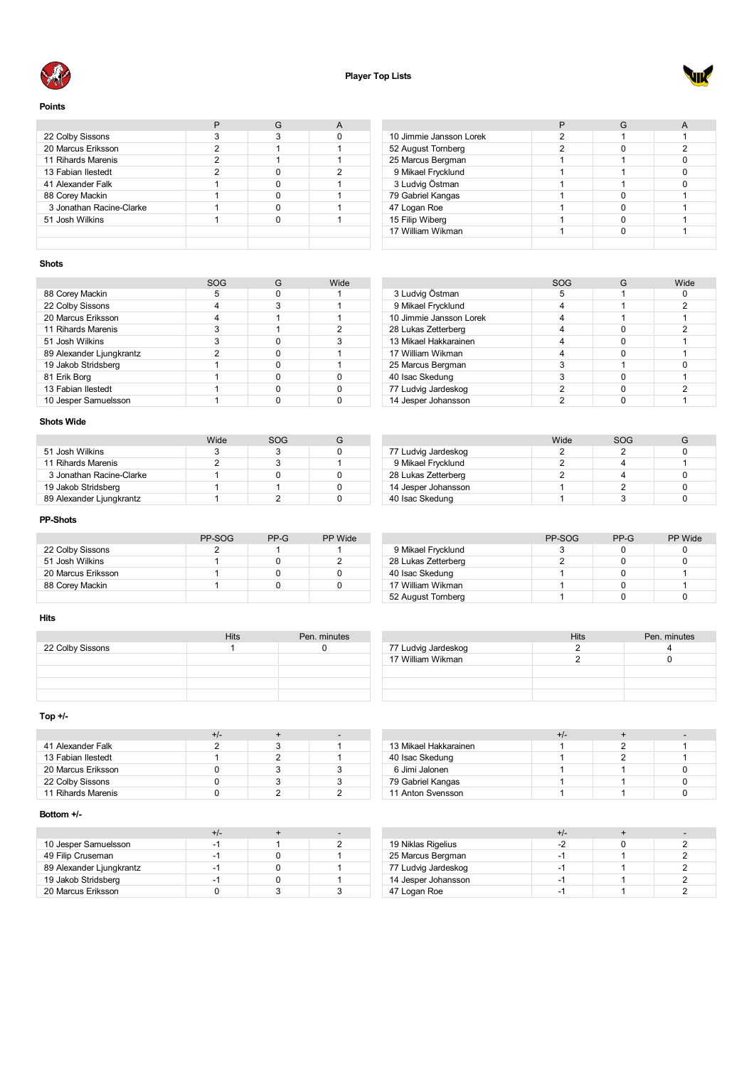



**Points**

| 22 Colby Sissons         |   |  |
|--------------------------|---|--|
| 20 Marcus Eriksson       | 2 |  |
| 11 Rihards Marenis       | 2 |  |
| 13 Fabian Ilestedt       | 2 |  |
| 41 Alexander Falk        |   |  |
| 88 Corey Mackin          |   |  |
| 3 Jonathan Racine-Clarke |   |  |
| 51 Josh Wilkins          |   |  |
|                          |   |  |
|                          |   |  |

| 10 Jimmie Jansson Lorek |   |   |
|-------------------------|---|---|
| 52 August Tornberg      | າ | າ |
| 25 Marcus Bergman       |   |   |
| 9 Mikael Frycklund      |   |   |
| 3 Ludvig Östman         |   |   |
| 79 Gabriel Kangas       |   |   |
| 47 Logan Roe            |   |   |
| 15 Filip Wiberg         |   |   |
| 17 William Wikman       |   |   |
|                         |   |   |

 Ludvig Östman 5 1 0 Mikael Frycklund 4 1 2 10 Jimmie Jansson Lorek 1996 (1996)<br>28 Lukas Zetterberg 1996 (1997)<br>28 Lukas Zetterberg 1997 (1998) Lukas Zetterberg 4 0 2

 William Wikman 4 0 1 25 Marcus Bergman 25 Marcus 1 0 40 Isac Skedung and the state of the state of the state of the state of the state of the state of the state of the state of the state of the state of the state of the state of the state of the state of the state of the sta Ludvig Jardeskog 2 0 2 14 Jesper Johansson 2 1 0 1

13 Mikael Hakkarainen 12 - 12 Mikael Hakkarainen 12 - 12 Milliam Vikman 12 - 12 Milliam 12 12 13 Mikael 12 13<br>12 13 Mikael 12 13 Mikael 12 13 Mikael 12 13 Mikael 12 13 Mikael 12 13 Mikael 12 13 Mikael 12 13 Mikael 12 13

SOG G Wide<br>5 1 0

Hits Pen. minutes<br>2 4

### **Shots**

|                          | SOG | Wide |
|--------------------------|-----|------|
| 88 Corey Mackin          | 5   |      |
| 22 Colby Sissons         |     |      |
| 20 Marcus Eriksson       |     |      |
| 11 Rihards Marenis       | 3   |      |
| 51 Josh Wilkins          |     |      |
| 89 Alexander Ljungkrantz | っ   |      |
| 19 Jakob Stridsberg      |     |      |
| 81 Erik Borg             |     |      |
| 13 Fabian Ilestedt       |     |      |
| 10 Jesper Samuelsson     |     |      |

# **Shots Wide**

|                          | Wide | SOG |  |
|--------------------------|------|-----|--|
| 51 Josh Wilkins          |      |     |  |
| 11 Rihards Marenis       |      |     |  |
| 3 Jonathan Racine-Clarke |      |     |  |
| 19 Jakob Stridsberg      |      |     |  |
| 89 Alexander Ljungkrantz |      |     |  |

### **PP-Shots**

|                    | PP-SOG | PP-G | PP Wide |
|--------------------|--------|------|---------|
| 22 Colby Sissons   |        |      |         |
| 51 Josh Wilkins    |        |      |         |
| 20 Marcus Eriksson |        |      |         |
| 88 Corey Mackin    |        |      |         |
|                    |        |      |         |

|                     | Wide | SOG |  |
|---------------------|------|-----|--|
| 77 Ludvig Jardeskog |      |     |  |
| 9 Mikael Frycklund  |      |     |  |
| 28 Lukas Zetterberg |      |     |  |
| 14 Jesper Johansson |      |     |  |
| 40 Isac Skedung     |      |     |  |
|                     |      |     |  |

|                     | PP-SOG | $PP-G$ | PP Wide |
|---------------------|--------|--------|---------|
| 9 Mikael Frycklund  |        |        |         |
| 28 Lukas Zetterberg |        |        |         |
| 40 Isac Skedung     |        |        |         |
| 17 William Wikman   |        |        |         |
| 52 August Tornberg  |        |        |         |

17 Ludvig Jardeskog 2 2 4 4 4 4 4 4 5 6 7 6 4 4 5 6 7 7 7 7 7 7 7 7 8 6 7 7 7 7 8 4 5 7 7 8 7 7 8 7 7 8 7 7 8 7 7 8 7 7 8 7 7 8 7 7 8 7 7 8 7 7 8 7 7 8 7 7 8 7 7 8 7 7 8 7 7 8 7 7 8 7 7 8 7 7 8 7 7 8 7 7 8 7 7 8 7 7 8 7 7

17 William Wikman

### **Hits**

|                  | <b>Hits</b> | Pen. minutes |
|------------------|-------------|--------------|
| 22 Colby Sissons |             |              |
|                  |             |              |
|                  |             |              |
|                  |             |              |
|                  |             |              |

### **Top +/-**

|                    | +/- |  |
|--------------------|-----|--|
| 41 Alexander Falk  |     |  |
| 13 Fabian Ilestedt |     |  |
| 20 Marcus Eriksson |     |  |
| 22 Colby Sissons   |     |  |
| 11 Rihards Marenis |     |  |

### **Bottom +/-**

| 10 Jesper Samuelsson     | -1 |  |
|--------------------------|----|--|
| 49 Filip Cruseman        | -1 |  |
| 89 Alexander Ljungkrantz | -1 |  |
| 19 Jakob Stridsberg      | ÷  |  |
| 20 Marcus Eriksson       |    |  |

|                       | $+/-$ |  |
|-----------------------|-------|--|
| 13 Mikael Hakkarainen |       |  |
| 40 Isac Skedung       |       |  |
| 6 Jimi Jalonen        |       |  |
| 79 Gabriel Kangas     |       |  |
| 11 Anton Svensson     |       |  |

|                     | +/- |  |
|---------------------|-----|--|
| 19 Niklas Rigelius  |     |  |
| 25 Marcus Bergman   | -1  |  |
| 77 Ludvig Jardeskog | -1  |  |
| 14 Jesper Johansson |     |  |
| 47 Logan Roe        |     |  |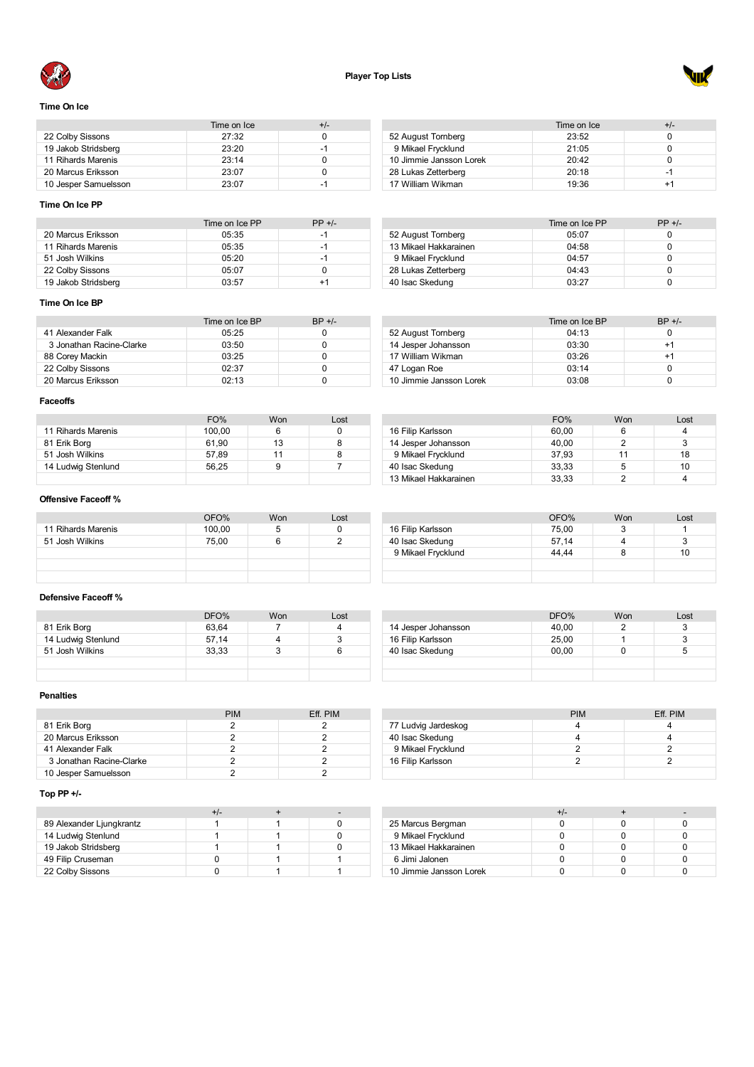



### **Time On Ice**

|                      | Time on Ice | +/- |
|----------------------|-------------|-----|
| 22 Colby Sissons     | 27:32       |     |
| 19 Jakob Stridsberg  | 23:20       | -1  |
| 11 Rihards Marenis   | 23.14       |     |
| 20 Marcus Eriksson   | 23:07       |     |
| 10 Jesper Samuelsson | 23:07       | -1  |

### Time on Ice  $+/-$ <br>23:52 0 52 August Tomberg 23:52 0<br>
9 Mikael Frycklund 21:05 0 Mikael Frycklund 21:05 0 10 Jimmie Jansson Lorek 20:42<br>28 Lukas Zetterberg 20:18 28 Lukas Zetterberg 20:18 -1 17 William Wikman 19:36 +1

### **Time On Ice PP**

|                     | Time on Ice PP | $PP +/-$ |
|---------------------|----------------|----------|
| 20 Marcus Eriksson  | 05:35          | -1       |
| 11 Rihards Marenis  | 05:35          | -1       |
| 51 Josh Wilkins     | 05:20          | -1       |
| 22 Colby Sissons    | 05:07          |          |
| 19 Jakob Stridsberg | 03:57          | +1       |

# Time on Ice PP  $PP +/-$ <br>05:07 0 August Tornberg 05:07 0 13 Mikael Hakkarainen

|                     | .     | -- |
|---------------------|-------|----|
| 9 Mikael Frycklund  | 04:57 |    |
| 28 Lukas Zetterberg | 04:43 |    |
| 40 Isac Skedung     | 03:27 |    |
|                     |       |    |
|                     |       |    |

### **Time On Ice BP**

|                          | Time on Ice BP | $BP +/-$ |
|--------------------------|----------------|----------|
| 41 Alexander Falk        | 05:25          |          |
| 3 Jonathan Racine-Clarke | 03:50          |          |
| 88 Corey Mackin          | 03:25          |          |
| 22 Colby Sissons         | 02.37          |          |
| 20 Marcus Eriksson       | 02.13          |          |

|                         | Time on Ice BP | $BP +/-$ |
|-------------------------|----------------|----------|
| 52 August Tornberg      | 04:13          |          |
| 14 Jesper Johansson     | 03:30          | $+1$     |
| 17 William Wikman       | 03:26          | +1       |
| 47 Logan Roe            | 03:14          |          |
| 10 Jimmie Jansson Lorek | 03:08          |          |

### **Faceoffs**

|                    | FO%    | Won | Lost |
|--------------------|--------|-----|------|
| 11 Rihards Marenis | 100.00 | 6   |      |
| 81 Erik Borg       | 61.90  | 13  |      |
| 51 Josh Wilkins    | 57.89  | 11  |      |
| 14 Ludwig Stenlund | 56.25  | 9   |      |
|                    |        |     |      |

|                       | FO%   | Won | Lost |
|-----------------------|-------|-----|------|
| 16 Filip Karlsson     | 60.00 |     |      |
| 14 Jesper Johansson   | 40.00 |     | 3    |
| 9 Mikael Frycklund    | 37.93 | 11  | 18   |
| 40 Isac Skedung       | 33.33 | 5   | 10   |
| 13 Mikael Hakkarainen | 33,33 |     |      |

OFO% Won Lost<br>75,00 3 1

### **Offensive Faceoff %**

|                    | OFO%   | Won | Lost |
|--------------------|--------|-----|------|
| 11 Rihards Marenis | 100,00 | 5   |      |
| 51 Josh Wilkins    | 75,00  | 6   |      |
|                    |        |     |      |
|                    |        |     |      |
|                    |        |     |      |

### **Defensive Faceoff %**

|                    | DFO%  | Won | Lost |
|--------------------|-------|-----|------|
| 81 Erik Borg       | 63.64 |     |      |
| 14 Ludwig Stenlund | 57.14 |     |      |
| 51 Josh Wilkins    | 33.33 |     | ь    |
|                    |       |     |      |
|                    |       |     |      |

# DFO% Won Lost 14 Jesper Johansson 40,00 2 3 16 Filip Karlsson 25,00 1 3<br>40 Isac Skedung 00,00 0 5 40 Isac Skedung

 Filip Karlsson 75,00 3 1 Isac Skedung 57,14 4 3 Mikael Frycklund 44,44 8 10

### **Penalties**

|                          | <b>PIM</b> | Eff. PIM |
|--------------------------|------------|----------|
| 81 Erik Borg             |            |          |
| 20 Marcus Eriksson       |            |          |
| 41 Alexander Falk        |            |          |
| 3 Jonathan Racine-Clarke |            |          |
| 10 Jesper Samuelsson     |            |          |

### **Top PP +/-**

| 89 Alexander Ljungkrantz |  |  |
|--------------------------|--|--|
| 14 Ludwig Stenlund       |  |  |
| 19 Jakob Stridsberg      |  |  |
| 49 Filip Cruseman        |  |  |
| 22 Colby Sissons         |  |  |

|                     | <b>PIM</b> | Eff. PIM |
|---------------------|------------|----------|
| 77 Ludvig Jardeskog |            |          |
| 40 Isac Skedung     |            |          |
| 9 Mikael Frycklund  |            |          |
| 16 Filip Karlsson   |            |          |
|                     |            |          |

|                         | +/- |  |
|-------------------------|-----|--|
| 25 Marcus Bergman       |     |  |
| 9 Mikael Frycklund      |     |  |
| 13 Mikael Hakkarainen   |     |  |
| 6 Jimi Jalonen          |     |  |
| 10 Jimmie Jansson Lorek |     |  |